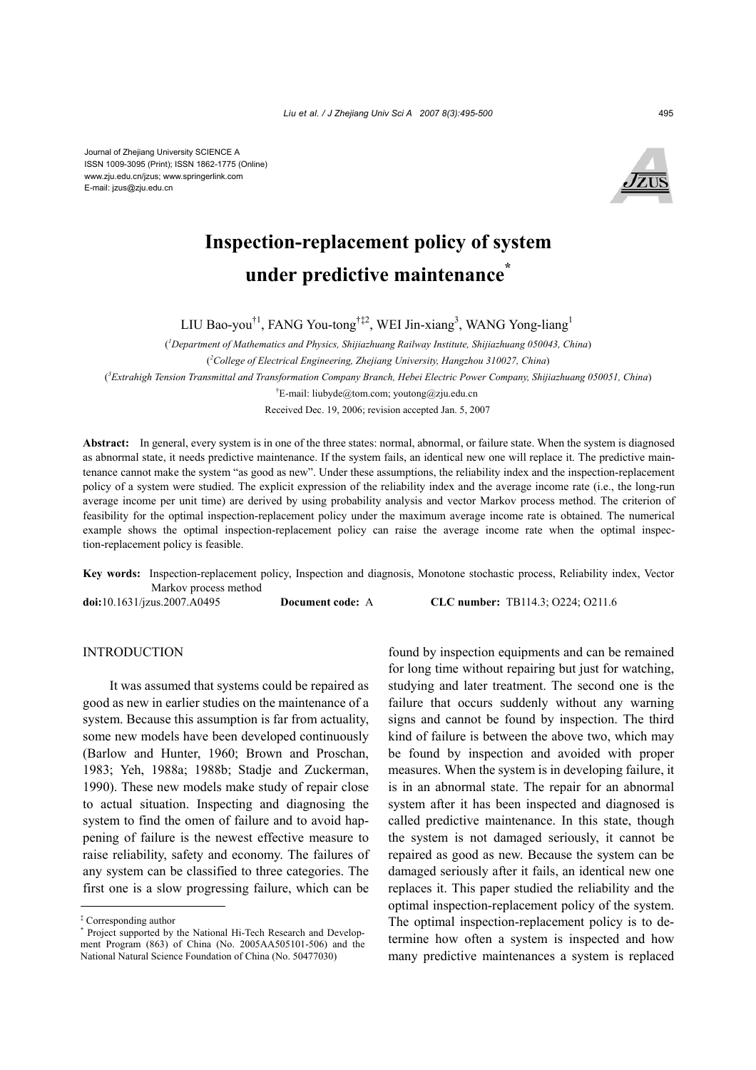Journal of Zhejiang University SCIENCE A ISSN 1009-3095 (Print); ISSN 1862-1775 (Online) www.zju.edu.cn/jzus; www.springerlink.com E-mail: jzus@zju.edu.cn



# **Inspection-replacement policy of system under predictive maintenance\***

LIU Bao-you<sup>†1</sup>, FANG You-tong<sup>†‡2</sup>, WEI Jin-xiang<sup>3</sup>, WANG Yong-liang<sup>1</sup>

( *1 Department of Mathematics and Physics, Shijiazhuang Railway Institute, Shijiazhuang 050043, China*) ( *2 College of Electrical Engineering, Zhejiang University, Hangzhou 310027, China*) ( *3 Extrahigh Tension Transmittal and Transformation Company Branch, Hebei Electric Power Company, Shijiazhuang 050051, China*) † E-mail: liubyde@tom.com; youtong@zju.edu.cn Received Dec. 19, 2006; revision accepted Jan. 5, 2007

**Abstract:** In general, every system is in one of the three states: normal, abnormal, or failure state. When the system is diagnosed as abnormal state, it needs predictive maintenance. If the system fails, an identical new one will replace it. The predictive maintenance cannot make the system "as good as new". Under these assumptions, the reliability index and the inspection-replacement policy of a system were studied. The explicit expression of the reliability index and the average income rate (i.e., the long-run average income per unit time) are derived by using probability analysis and vector Markov process method. The criterion of feasibility for the optimal inspection-replacement policy under the maximum average income rate is obtained. The numerical example shows the optimal inspection-replacement policy can raise the average income rate when the optimal inspection-replacement policy is feasible.

**Key words:** Inspection-replacement policy, Inspection and diagnosis, Monotone stochastic process, Reliability index, Vector Markov process method

**doi:**10.1631/jzus.2007.A0495 **Document code:** A **CLC number:** TB114.3; O224; O211.6

#### INTRODUCTION

It was assumed that systems could be repaired as good as new in earlier studies on the maintenance of a system. Because this assumption is far from actuality, some new models have been developed continuously (Barlow and Hunter, 1960; Brown and Proschan, 1983; Yeh, 1988a; 1988b; Stadje and Zuckerman, 1990). These new models make study of repair close to actual situation. Inspecting and diagnosing the system to find the omen of failure and to avoid happening of failure is the newest effective measure to raise reliability, safety and economy. The failures of any system can be classified to three categories. The first one is a slow progressing failure, which can be

found by inspection equipments and can be remained for long time without repairing but just for watching, studying and later treatment. The second one is the failure that occurs suddenly without any warning signs and cannot be found by inspection. The third kind of failure is between the above two, which may be found by inspection and avoided with proper measures. When the system is in developing failure, it is in an abnormal state. The repair for an abnormal system after it has been inspected and diagnosed is called predictive maintenance. In this state, though the system is not damaged seriously, it cannot be repaired as good as new. Because the system can be damaged seriously after it fails, an identical new one replaces it. This paper studied the reliability and the optimal inspection-replacement policy of the system. The optimal inspection-replacement policy is to determine how often a system is inspected and how many predictive maintenances a system is replaced

<sup>‡</sup> Corresponding author

**<sup>\*</sup>** Project supported by the National Hi-Tech Research and Development Program (863) of China (No. 2005AA505101-506) and the National Natural Science Foundation of China (No. 50477030)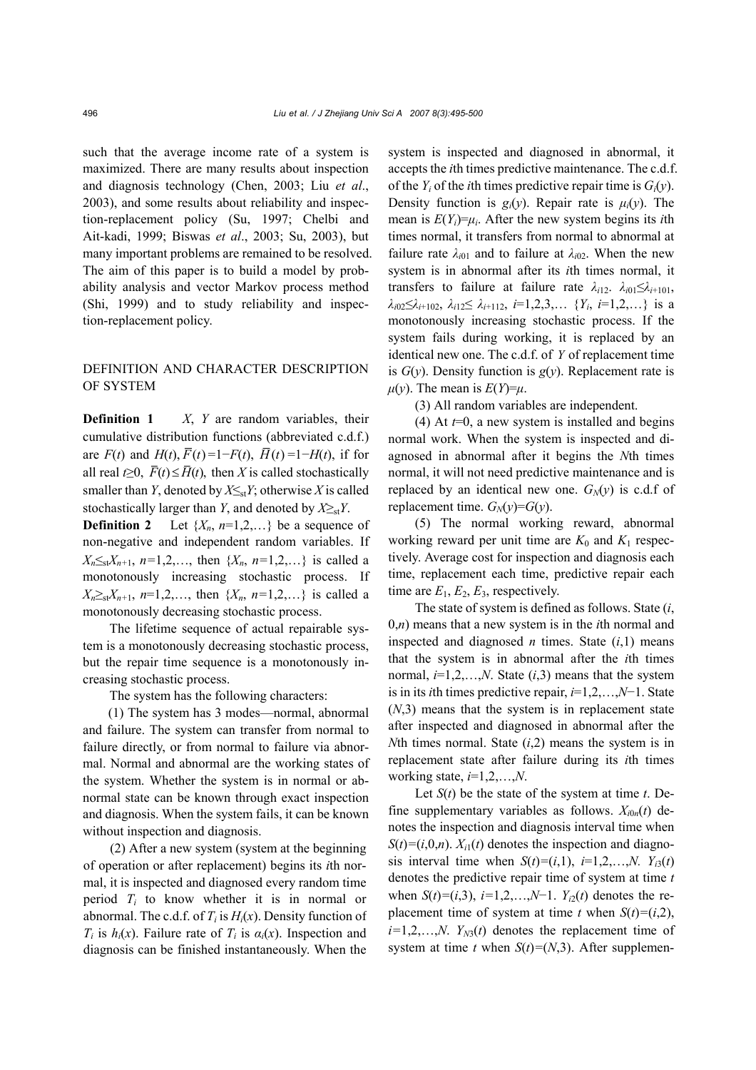such that the average income rate of a system is maximized. There are many results about inspection and diagnosis technology (Chen, 2003; Liu *et al*., 2003), and some results about reliability and inspection-replacement policy (Su, 1997; Chelbi and Ait-kadi, 1999; Biswas *et al*., 2003; Su, 2003), but many important problems are remained to be resolved. The aim of this paper is to build a model by probability analysis and vector Markov process method (Shi, 1999) and to study reliability and inspection-replacement policy.

## DEFINITION AND CHARACTER DESCRIPTION OF SYSTEM

**Definition 1** *X*, *Y* are random variables, their cumulative distribution functions (abbreviated c.d.f.) are  $F(t)$  and  $H(t)$ ,  $\overline{F}(t) = 1 - F(t)$ ,  $\overline{H}(t) = 1 - H(t)$ , if for all real  $t \geq 0$ ,  $\overline{F}(t) \leq \overline{H}(t)$ , then *X* is called stochastically smaller than *Y*, denoted by  $X \leq_{st} Y$ ; otherwise *X* is called stochastically larger than *Y*, and denoted by  $X \geq_{st} Y$ .

**Definition 2** Let  $\{X_n, n=1,2,...\}$  be a sequence of non-negative and independent random variables. If  $X_n \leq_{st} X_{n+1}, n=1,2,...$ , then  $\{X_n, n=1,2,...\}$  is called a monotonously increasing stochastic process. If  $X_n \geq_{st} X_{n+1}$ ,  $n=1,2,...$ , then  $\{X_n, n=1,2,...\}$  is called a monotonously decreasing stochastic process.

The lifetime sequence of actual repairable system is a monotonously decreasing stochastic process, but the repair time sequence is a monotonously increasing stochastic process.

The system has the following characters:

(1) The system has 3 modes—normal, abnormal and failure. The system can transfer from normal to failure directly, or from normal to failure via abnormal. Normal and abnormal are the working states of the system. Whether the system is in normal or abnormal state can be known through exact inspection and diagnosis. When the system fails, it can be known without inspection and diagnosis.

(2) After a new system (system at the beginning of operation or after replacement) begins its *i*th normal, it is inspected and diagnosed every random time period *Ti* to know whether it is in normal or abnormal. The c.d.f. of  $T_i$  is  $H_i(x)$ . Density function of *T<sub>i</sub>* is  $h_i(x)$ . Failure rate of  $T_i$  is  $a_i(x)$ . Inspection and diagnosis can be finished instantaneously. When the system is inspected and diagnosed in abnormal, it accepts the *i*th times predictive maintenance. The c.d.f. of the  $Y_i$  of the *i*th times predictive repair time is  $G_i(y)$ . Density function is  $g_i(v)$ . Repair rate is  $\mu_i(v)$ . The mean is  $E(Y_i)=\mu_i$ . After the new system begins its *i*th times normal, it transfers from normal to abnormal at failure rate  $\lambda_{i01}$  and to failure at  $\lambda_{i02}$ . When the new system is in abnormal after its *i*th times normal, it transfers to failure at failure rate  $\lambda_{i12}$ .  $\lambda_{i01} \leq \lambda_{i+101}$ ,  $\lambda_{i02} \leq \lambda_{i+102}$ ,  $\lambda_{i12} \leq \lambda_{i+112}$ , *i*=1,2,3,... {*Y<sub>i</sub>*, *i*=1,2,...} is a monotonously increasing stochastic process. If the system fails during working, it is replaced by an identical new one. The c.d.f. of *Y* of replacement time is  $G(y)$ . Density function is  $g(y)$ . Replacement rate is  $\mu(y)$ . The mean is  $E(Y)=\mu$ .

(3) All random variables are independent.

(4) At  $t=0$ , a new system is installed and begins normal work. When the system is inspected and diagnosed in abnormal after it begins the *N*th times normal, it will not need predictive maintenance and is replaced by an identical new one.  $G_N(y)$  is c.d.f of replacement time.  $G_N(y)=G(y)$ .

(5) The normal working reward, abnormal working reward per unit time are  $K_0$  and  $K_1$  respectively. Average cost for inspection and diagnosis each time, replacement each time, predictive repair each time are  $E_1, E_2, E_3$ , respectively.

The state of system is defined as follows. State (*i*, 0,*n*) means that a new system is in the *i*th normal and inspected and diagnosed  $n$  times. State  $(i,1)$  means that the system is in abnormal after the *i*th times normal, *i*=1,2,…,*N*. State (*i*,3) means that the system is in its *i*th times predictive repair, *i*=1,2,…,*N*−1. State (*N*,3) means that the system is in replacement state after inspected and diagnosed in abnormal after the *N*th times normal. State  $(i,2)$  means the system is in replacement state after failure during its *i*th times working state, *i*=1,2,…,*N*.

Let *S*(*t*) be the state of the system at time *t*. Define supplementary variables as follows.  $X_{i0n}(t)$  denotes the inspection and diagnosis interval time when  $S(t)=(i,0,n)$ .  $X_{i}(t)$  denotes the inspection and diagnosis interval time when  $S(t)=(i,1), i=1,2,...,N$ .  $Y_{i3}(t)$ denotes the predictive repair time of system at time *t*  when  $S(t)=(i,3), i=1,2,...,N-1$ .  $Y_{i2}(t)$  denotes the replacement time of system at time *t* when  $S(t)=(i,2)$ ,  $i=1,2,...,N$ .  $Y_{N3}(t)$  denotes the replacement time of system at time *t* when  $S(t)=(N,3)$ . After supplemen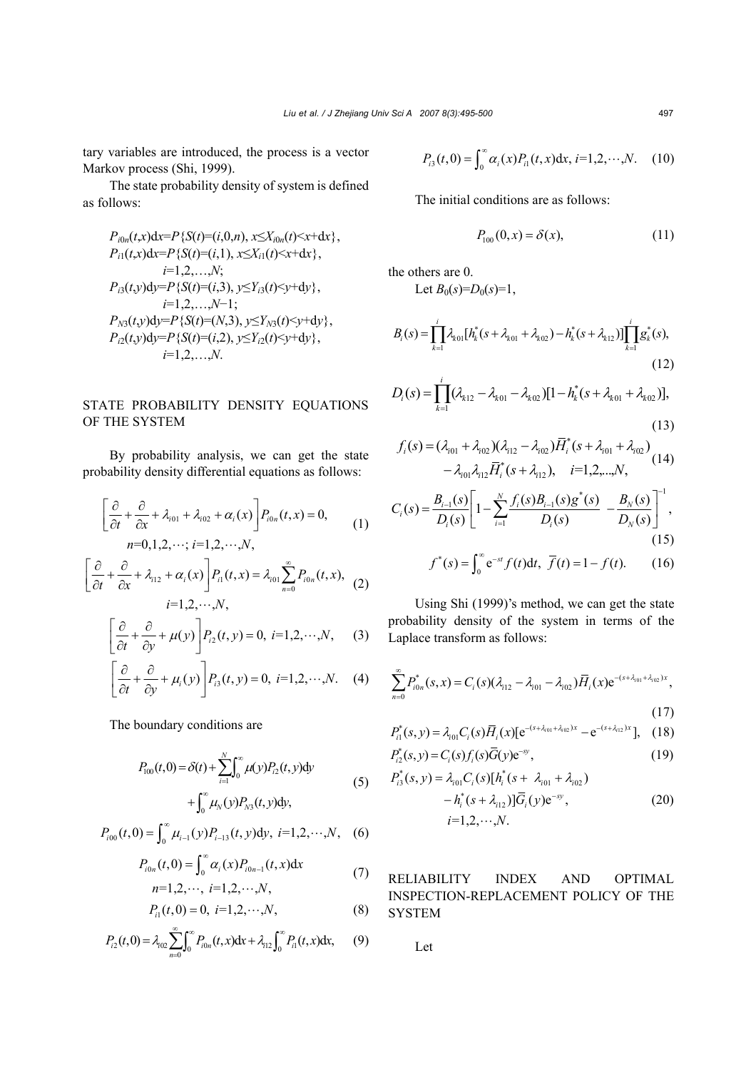tary variables are introduced, the process is a vector Markov process (Shi, 1999).

The state probability density of system is defined as follows:

$$
P_{i0n}(t,x)dx=P\{S(t)=(i,0,n), x\leq X_{i0n}(t)\n
$$
P_{i1}(t,x)dx=P\{S(t)=(i,1), x\leq X_{i1}(t)\n
$$
i=1,2,...,N;
$$
\n
$$
P_{i3}(t,y)dy=P\{S(t)=(i,3), y\leq Y_{i3}(t)\n
$$
i=1,2,...,N-1;
$$
\n
$$
P_{N3}(t,y)dy=P\{S(t)=(N,3), y\leq Y_{N3}(t)\n
$$
P_{i2}(t,y)dy=P\{S(t)=(i,2), y\leq Y_{i2}(t)\n
$$
i=1,2,...,N.
$$
$$
$$
$$
$$
$$

## STATE PROBABILITY DENSITY EQUATIONS OF THE SYSTEM

By probability analysis, we can get the state probability density differential equations as follows:

$$
\left[\frac{\partial}{\partial t} + \frac{\partial}{\partial x} + \lambda_{i01} + \lambda_{i02} + \alpha_i(x)\right] P_{i0n}(t, x) = 0,
$$
  
\n
$$
n=0,1,2,\dots; i=1,2,\dots,N,
$$
 (1)

$$
\left[\frac{\partial}{\partial t} + \frac{\partial}{\partial x} + \lambda_{i12} + \alpha_i(x)\right] P_{i1}(t, x) = \lambda_{i01} \sum_{n=0}^{\infty} P_{i0n}(t, x),
$$
\n
$$
i = 1, 2, \cdots, N,
$$
\n(2)

$$
\left[\frac{\partial}{\partial t} + \frac{\partial}{\partial y} + \mu(y)\right] P_{i2}(t, y) = 0, \ i = 1, 2, \cdots, N, \quad (3)
$$

$$
\left[\frac{\partial}{\partial t} + \frac{\partial}{\partial y} + \mu_i(y)\right] P_{i3}(t, y) = 0, \ i = 1, 2, \cdots, N. \quad (4)
$$

The boundary conditions are

$$
P_{100}(t,0) = \delta(t) + \sum_{i=1}^{N} \int_{0}^{\infty} \mu(y) P_{i2}(t,y) dy
$$
  
+ 
$$
\int_{0}^{\infty} \mu_N(y) P_{N3}(t,y) dy,
$$
 (5)

$$
P_{i00}(t,0) = \int_0^\infty \mu_{i-1}(y) P_{i-13}(t,y) dy, \ i=1,2,\cdots,N,\quad (6)
$$

$$
P_{i0n}(t,0) = \int_0^\infty \alpha_i(x) P_{i0n-1}(t,x) dx
$$
  
\n
$$
n=1,2,\dots, i=1,2,\dots,N,
$$
 (7)

$$
P_{i1}(t,0) = 0, i=1,2,\cdots,N,
$$
 (8)

$$
P_{i2}(t,0) = \lambda_{i02} \sum_{n=0}^{\infty} \int_{0}^{\infty} P_{i0n}(t,x) dx + \lambda_{i12} \int_{0}^{\infty} P_{i1}(t,x) dx, \qquad (9)
$$

$$
P_{i3}(t,0) = \int_0^\infty \alpha_i(x) P_{i1}(t,x) \mathrm{d}x, \, i=1,2,\cdots,N. \quad (10)
$$

The initial conditions are as follows:

$$
P_{100}(0, x) = \delta(x), \tag{11}
$$

the others are 0.

Let  $B_0(s)=D_0(s)=1$ ,

$$
B_i(s) = \prod_{k=1}^i \lambda_{k0} [h_k^*(s + \lambda_{k01} + \lambda_{k02}) - h_k^*(s + \lambda_{k12})] \prod_{k=1}^i g_k^*(s),
$$
\n(12)

$$
D_i(s) = \prod_{k=1}^i (\lambda_{k12} - \lambda_{k01} - \lambda_{k02}) [1 - h_k^*(s + \lambda_{k01} + \lambda_{k02})],
$$
\n(13)

$$
f_i(s) = (\lambda_{i01} + \lambda_{i02})(\lambda_{i12} - \lambda_{i02})\overline{H}_i^*(s + \lambda_{i01} + \lambda_{i02}) - \lambda_{i01}\lambda_{i12}\overline{H}_i^*(s + \lambda_{i12}), \quad i = 1, 2, ..., N,
$$
 (14)

$$
C_i(s) = \frac{B_{i-1}(s)}{D_i(s)} \left[ 1 - \sum_{i=1}^N \frac{f_i(s)B_{i-1}(s)g^*(s)}{D_i(s)} - \frac{B_N(s)}{D_N(s)} \right]^{-1},\tag{15}
$$

$$
f^*(s) = \int_0^\infty e^{-st} f(t) dt
$$
,  $\overline{f}(t) = 1 - f(t)$ . (16)

Using Shi (1999)'s method, we can get the state probability density of the system in terms of the Laplace transform as follows:

$$
\sum_{n=0}^{\infty} P_{i0n}^*(s, x) = C_i(s)(\lambda_{i12} - \lambda_{i01} - \lambda_{i02})\overline{H}_i(x)e^{-(s+\lambda_{i01} + \lambda_{i02})x},
$$
\n(17)

$$
P_{i1}^{*}(s, y) = \lambda_{i01} C_{i}(s) \overline{H}_{i}(x) \left[e^{-(s + \lambda_{i01} + \lambda_{i02})x} - e^{-(s + \lambda_{i12})x}\right], \quad (18)
$$

$$
P_{i2}^*(s, y) = C_i(s) f_i(s) \overline{G}(y) e^{-sy},
$$
\n(19)

$$
P_{i3}^{*}(s, y) = \lambda_{i01} C_{i}(s) [h_{i}^{*}(s + \lambda_{i01} + \lambda_{i02})
$$
  
-  $h_{i}^{*}(s + \lambda_{i12})] \overline{G}_{i}(y) e^{-sy},$   
 $i=1,2,\dots,N.$  (20)

RELIABILITY INDEX AND OPTIMAL INSPECTION-REPLACEMENT POLICY OF THE **SYSTEM** 

Let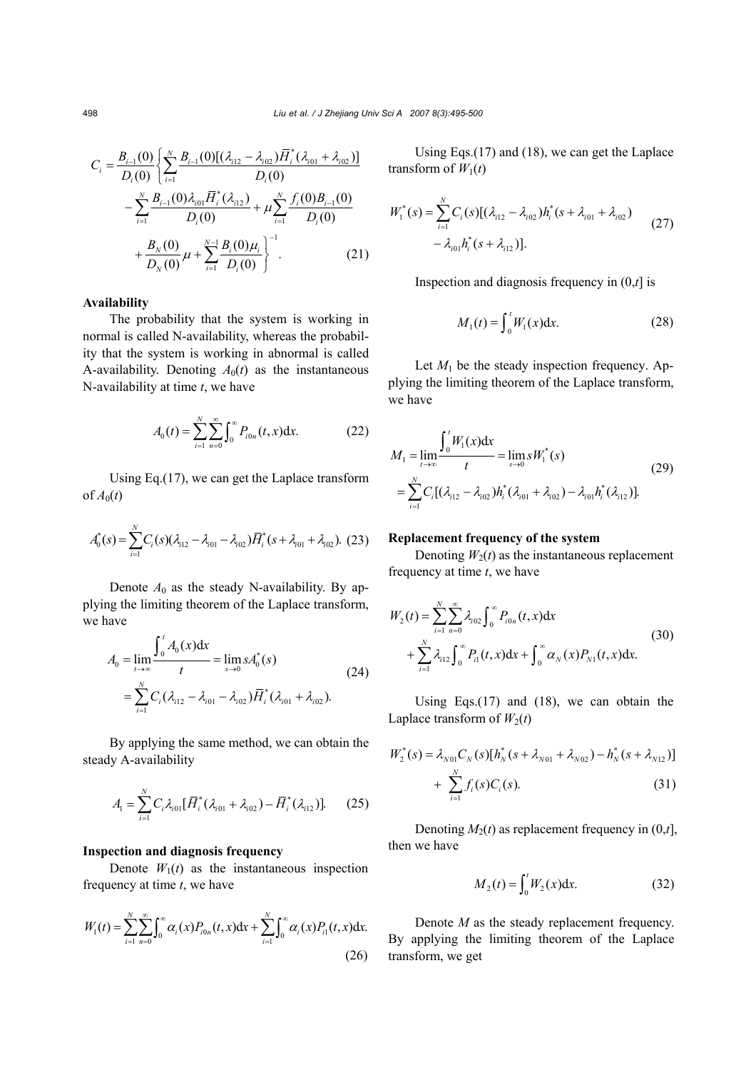$$
C_{i} = \frac{B_{i-1}(0)}{D_{i}(0)} \left\{ \sum_{i=1}^{N} \frac{B_{i-1}(0)[(\lambda_{i12} - \lambda_{i02})\overline{H}_{i}^{*}(\lambda_{i01} + \lambda_{i02})]}{D_{i}(0)} - \sum_{i=1}^{N} \frac{B_{i-1}(0)\lambda_{i01}\overline{H}_{i}^{*}(\lambda_{i12})}{D_{i}(0)} + \mu \sum_{i=1}^{N} \frac{f_{i}(0)B_{i-1}(0)}{D_{i}(0)} + \frac{B_{N}(0)}{D_{N}(0)} \mu + \sum_{i=1}^{N-1} \frac{B_{i}(0)\mu_{i}}{D_{i}(0)} \right\}^{-1}.
$$
 (21)

#### **Availability**

The probability that the system is working in normal is called N-availability, whereas the probability that the system is working in abnormal is called A-availability. Denoting  $A_0(t)$  as the instantaneous N-availability at time *t*, we have

$$
A_0(t) = \sum_{i=1}^{N} \sum_{n=0}^{\infty} \int_0^{\infty} P_{i0n}(t, x) dx.
$$
 (22)

Using Eq.(17), we can get the Laplace transform of  $A_0(t)$ 

$$
A_0^*(s) = \sum_{i=1}^N C_i(s) (\lambda_{i12} - \lambda_{i01} - \lambda_{i02}) \overline{H}_i^*(s + \lambda_{i01} + \lambda_{i02}).
$$
 (23)

Denote  $A_0$  as the steady N-availability. By applying the limiting theorem of the Laplace transform, we have

$$
A_0 = \lim_{t \to \infty} \frac{\int_0^t A_0(x) dx}{t} = \lim_{s \to 0} s A_0^*(s)
$$
  
= 
$$
\sum_{i=1}^N C_i (\lambda_{i12} - \lambda_{i01} - \lambda_{i02}) \overline{H}_i^* (\lambda_{i01} + \lambda_{i02}).
$$
 (24)

By applying the same method, we can obtain the steady A-availability

$$
A_1 = \sum_{i=1}^{N} C_i \lambda_{i01} [\bar{H}_i^* (\lambda_{i01} + \lambda_{i02}) - \bar{H}_i^* (\lambda_{i12})].
$$
 (25)

#### **Inspection and diagnosis frequency**

Denote  $W_1(t)$  as the instantaneous inspection frequency at time *t*, we have

$$
W_1(t) = \sum_{i=1}^{N} \sum_{n=0}^{\infty} \int_0^{\infty} \alpha_i(x) P_{i0n}(t, x) dx + \sum_{i=1}^{N} \int_0^{\infty} \alpha_i(x) P_{i1}(t, x) dx.
$$
\n(26)

Using Eqs.(17) and (18), we can get the Laplace transform of  $W_1(t)$ 

$$
W_1^*(s) = \sum_{i=1}^N C_i(s) [(\lambda_{i12} - \lambda_{i02}) h_i^*(s + \lambda_{i01} + \lambda_{i02})
$$
  

$$
- \lambda_{i01} h_i^*(s + \lambda_{i12})].
$$
 (27)

Inspection and diagnosis frequency in (0,*t*] is

$$
M_1(t) = \int_0^t W_1(x) dx.
$$
 (28)

Let  $M_1$  be the steady inspection frequency. Applying the limiting theorem of the Laplace transform, we have

$$
M_1 = \lim_{t \to \infty} \frac{\int_0^t W_1(x) dx}{t} = \lim_{s \to 0} s W_1^*(s)
$$
  
= 
$$
\sum_{i=1}^N C_i [(\lambda_{i12} - \lambda_{i02}) h_i^* (\lambda_{i01} + \lambda_{i02}) - \lambda_{i01} h_i^* (\lambda_{i12})].
$$
 (29)

#### **Replacement frequency of the system**

Denoting  $W_2(t)$  as the instantaneous replacement frequency at time *t*, we have

$$
W_2(t) = \sum_{i=1}^{N} \sum_{n=0}^{\infty} \lambda_{i02} \int_0^{\infty} P_{i0n}(t, x) dx + \sum_{i=1}^{N} \lambda_{i12} \int_0^{\infty} P_{i1}(t, x) dx + \int_0^{\infty} \alpha_N(x) P_{N1}(t, x) dx.
$$
 (30)

Using Eqs. $(17)$  and  $(18)$ , we can obtain the Laplace transform of  $W_2(t)$ 

$$
W_2^*(s) = \lambda_{N01} C_N(s) [h_N^*(s + \lambda_{N01} + \lambda_{N02}) - h_N^*(s + \lambda_{N12})]
$$
  
+ 
$$
\sum_{i=1}^N f_i(s) C_i(s).
$$
 (31)

Denoting  $M_2(t)$  as replacement frequency in  $(0,t]$ , then we have

$$
M_2(t) = \int_0^t W_2(x) dx.
$$
 (32)

Denote *M* as the steady replacement frequency. By applying the limiting theorem of the Laplace transform, we get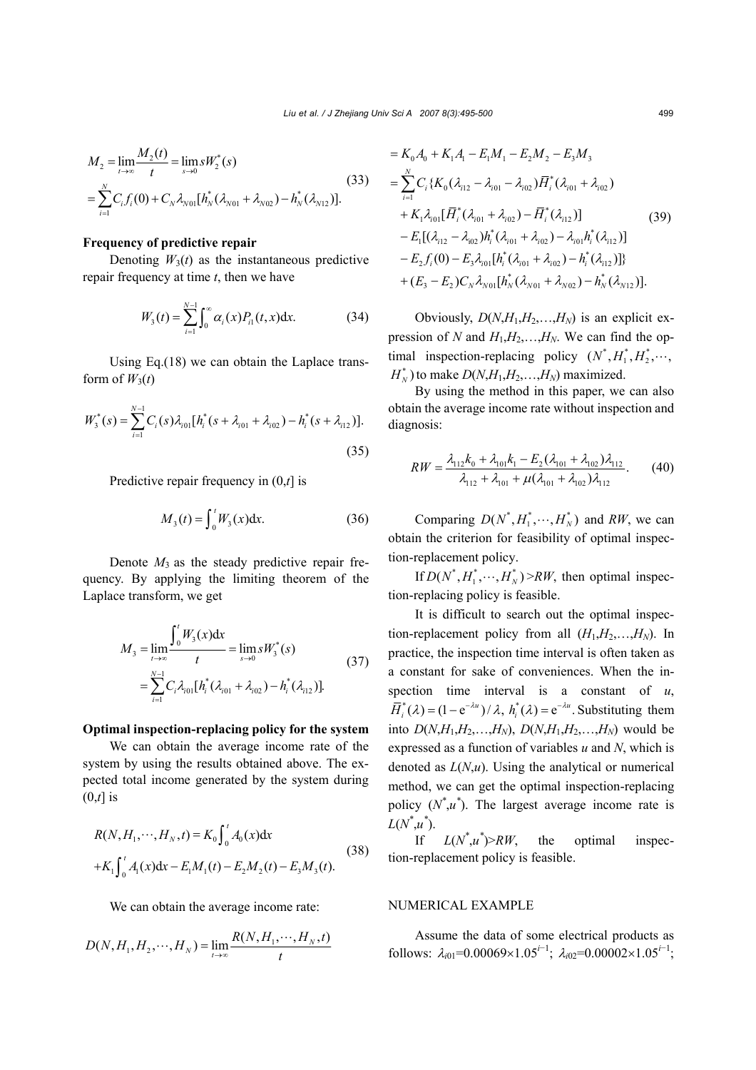$$
M_2 = \lim_{t \to \infty} \frac{M_2(t)}{t} = \lim_{s \to 0} s W_2^*(s)
$$
  
= 
$$
\sum_{i=1}^N C_i f_i(0) + C_N \lambda_{N01} [h_N^*(\lambda_{N01} + \lambda_{N02}) - h_N^*(\lambda_{N12})].
$$
 (33)

### **Frequency of predictive repair**

Denoting  $W_3(t)$  as the instantaneous predictive repair frequency at time *t*, then we have

$$
W_3(t) = \sum_{i=1}^{N-1} \int_0^{\infty} \alpha_i(x) P_{i1}(t, x) dx.
$$
 (34)

Using Eq.(18) we can obtain the Laplace transform of  $W_3(t)$ 

$$
W_3^*(s) = \sum_{i=1}^{N-1} C_i(s) \lambda_{i01} [h_i^*(s + \lambda_{i01} + \lambda_{i02}) - h_i^*(s + \lambda_{i12})].
$$
\n(35)

Predictive repair frequency in (0,*t*] is

$$
M_3(t) = \int_0^t W_3(x) dx.
$$
 (36)

Denote  $M_3$  as the steady predictive repair frequency. By applying the limiting theorem of the Laplace transform, we get

$$
M_3 = \lim_{t \to \infty} \frac{\int_0^t W_3(x) dx}{t} = \lim_{s \to 0} s W_3^*(s)
$$
  
= 
$$
\sum_{i=1}^{N-1} C_i \lambda_{i01} [h_i^*(\lambda_{i01} + \lambda_{i02}) - h_i^*(\lambda_{i12})].
$$
 (37)

#### **Optimal inspection-replacing policy for the system**

We can obtain the average income rate of the system by using the results obtained above. The expected total income generated by the system during (0,*t*] is

$$
R(N, H_1, \cdots, H_N, t) = K_0 \int_0^t A_0(x) dx
$$
  
+ $K_1 \int_0^t A_1(x) dx - E_1 M_1(t) - E_2 M_2(t) - E_3 M_3(t).$  (38)

We can obtain the average income rate:

$$
D(N, H_1, H_2, \cdots, H_N) = \lim_{t \to \infty} \frac{R(N, H_1, \cdots, H_N, t)}{t}
$$

$$
= K_0 A_0 + K_1 A_1 - E_1 M_1 - E_2 M_2 - E_3 M_3
$$
  
\n
$$
= \sum_{i=1}^{N} C_i \{ K_0 (\lambda_{i12} - \lambda_{i01} - \lambda_{i02}) \overline{H}_i^* (\lambda_{i01} + \lambda_{i02})
$$
  
\n
$$
+ K_1 \lambda_{i01} [\overline{H}_i^* (\lambda_{i01} + \lambda_{i02}) - \overline{H}_i^* (\lambda_{i12})]
$$
  
\n
$$
- E_1 [(\lambda_{i12} - \lambda_{i02}) h_i^* (\lambda_{i01} + \lambda_{i02}) - \lambda_{i01} h_i^* (\lambda_{i12})]
$$
  
\n
$$
- E_2 f_i (0) - E_3 \lambda_{i01} [h_i^* (\lambda_{i01} + \lambda_{i02}) - h_i^* (\lambda_{i12})]
$$
  
\n
$$
+ (E_3 - E_2) C_N \lambda_{N01} [h_N^* (\lambda_{N01} + \lambda_{N02}) - h_N^* (\lambda_{N12})].
$$

Obviously,  $D(N, H_1, H_2, \ldots, H_N)$  is an explicit expression of *N* and  $H_1, H_2, \ldots, H_N$ . We can find the optimal inspection-replacing policy  $(N^*, H_1^*, H_2^*, \cdots,$  $H_N^*$ ) to make  $D(N,H_1,H_2,\ldots,H_N)$  maximized.

By using the method in this paper, we can also obtain the average income rate without inspection and diagnosis:

$$
RW = \frac{\lambda_{112}k_0 + \lambda_{101}k_1 - E_2(\lambda_{101} + \lambda_{102})\lambda_{112}}{\lambda_{112} + \lambda_{101} + \mu(\lambda_{101} + \lambda_{102})\lambda_{112}}.
$$
 (40)

Comparing  $D(N^*, H_1^*, \dots, H_N^*)$  and *RW*, we can obtain the criterion for feasibility of optimal inspection-replacement policy.

If  $D(N^*, H_1^*, \dots, H_N^*)$  > *RW*, then optimal inspection-replacing policy is feasible.

It is difficult to search out the optimal inspection-replacement policy from all  $(H_1, H_2, \ldots, H_N)$ . In practice, the inspection time interval is often taken as a constant for sake of conveniences. When the inspection time interval is a constant of  $u$ ,  $\overline{H}_i^*(\lambda) = (1 - e^{-\lambda u}) / \lambda$ ,  $h_i^*(\lambda) = e^{-\lambda u}$ . Substituting them into  $D(N, H_1, H_2, \ldots, H_N)$ ,  $D(N, H_1, H_2, \ldots, H_N)$  would be expressed as a function of variables *u* and *N*, which is denoted as *L*(*N*,*u*). Using the analytical or numerical method, we can get the optimal inspection-replacing policy  $(N^*$ , $u^*$ ). The largest average income rate is  $L(N^*, u^*).$ 

If  $L(N^* , u^*) > R W$ , the optimal inspection-replacement policy is feasible.

#### NUMERICAL EXAMPLE

Assume the data of some electrical products as follows:  $\lambda_{i01} = 0.00069 \times 1.05^{i-1}$ ;  $\lambda_{i02} = 0.00002 \times 1.05^{i-1}$ ;